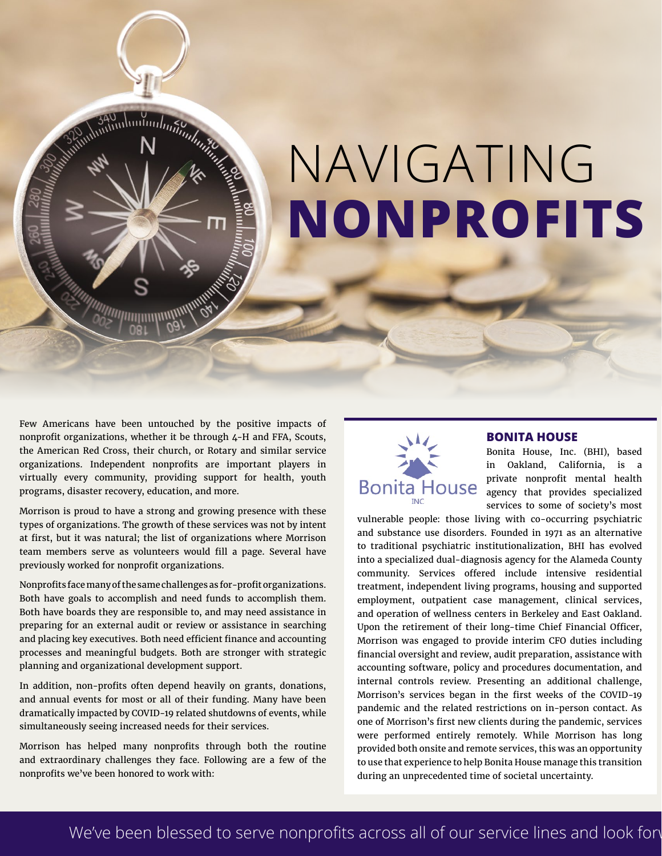# NAVIGATING **NONPROFITS**

Few Americans have been untouched by the positive impacts of nonprofit organizations, whether it be through 4-H and FFA, Scouts, the American Red Cross, their church, or Rotary and similar service organizations. Independent nonprofits are important players in virtually every community, providing support for health, youth programs, disaster recovery, education, and more.

*m*mmmmm

Morrison is proud to have a strong and growing presence with these types of organizations. The growth of these services was not by intent at first, but it was natural; the list of organizations where Morrison team members serve as volunteers would fill a page. Several have previously worked for nonprofit organizations.

Nonprofits face many of the same challenges as for-profit organizations. Both have goals to accomplish and need funds to accomplish them. Both have boards they are responsible to, and may need assistance in preparing for an external audit or review or assistance in searching and placing key executives. Both need efficient finance and accounting processes and meaningful budgets. Both are stronger with strategic planning and organizational development support.

In addition, non-profits often depend heavily on grants, donations, and annual events for most or all of their funding. Many have been dramatically impacted by COVID-19 related shutdowns of events, while simultaneously seeing increased needs for their services.

Morrison has helped many nonprofits through both the routine and extraordinary challenges they face. Following are a few of the nonprofits we've been honored to work with:



#### **BONITA HOUSE**

Bonita House, Inc. (BHI), based in Oakland, California, is a private nonprofit mental health agency that provides specialized services to some of society's most

vulnerable people: those living with co-occurring psychiatric and substance use disorders. Founded in 1971 as an alternative to traditional psychiatric institutionalization, BHI has evolved into a specialized dual-diagnosis agency for the Alameda County community. Services offered include intensive residential treatment, independent living programs, housing and supported employment, outpatient case management, clinical services, and operation of wellness centers in Berkeley and East Oakland. Upon the retirement of their long-time Chief Financial Officer, Morrison was engaged to provide interim CFO duties including financial oversight and review, audit preparation, assistance with accounting software, policy and procedures documentation, and internal controls review. Presenting an additional challenge, Morrison's services began in the first weeks of the COVID-19 pandemic and the related restrictions on in-person contact. As one of Morrison's first new clients during the pandemic, services were performed entirely remotely. While Morrison has long provided both onsite and remote services, this was an opportunity to use that experience to help Bonita House manage this transition during an unprecedented time of societal uncertainty.